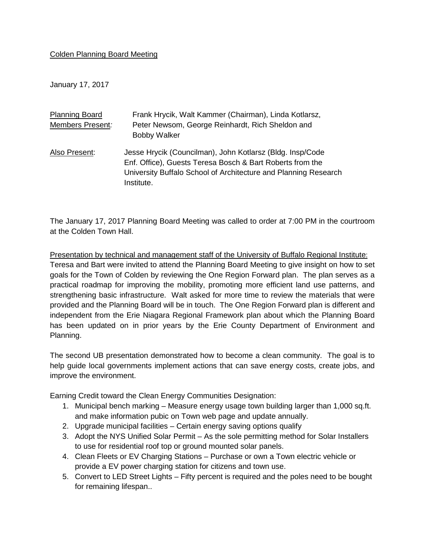## Colden Planning Board Meeting

January 17, 2017

| <b>Planning Board</b><br>Members Present: | Frank Hrycik, Walt Kammer (Chairman), Linda Kotlarsz,<br>Peter Newsom, George Reinhardt, Rich Sheldon and<br><b>Bobby Walker</b>                                                                        |
|-------------------------------------------|---------------------------------------------------------------------------------------------------------------------------------------------------------------------------------------------------------|
| Also Present:                             | Jesse Hrycik (Councilman), John Kotlarsz (Bldg. Insp/Code<br>Enf. Office), Guests Teresa Bosch & Bart Roberts from the<br>University Buffalo School of Architecture and Planning Research<br>Institute. |

The January 17, 2017 Planning Board Meeting was called to order at 7:00 PM in the courtroom at the Colden Town Hall.

Presentation by technical and management staff of the University of Buffalo Regional Institute: Teresa and Bart were invited to attend the Planning Board Meeting to give insight on how to set goals for the Town of Colden by reviewing the One Region Forward plan. The plan serves as a practical roadmap for improving the mobility, promoting more efficient land use patterns, and strengthening basic infrastructure. Walt asked for more time to review the materials that were provided and the Planning Board will be in touch. The One Region Forward plan is different and independent from the Erie Niagara Regional Framework plan about which the Planning Board has been updated on in prior years by the Erie County Department of Environment and Planning.

The second UB presentation demonstrated how to become a clean community. The goal is to help guide local governments implement actions that can save energy costs, create jobs, and improve the environment.

Earning Credit toward the Clean Energy Communities Designation:

- 1. Municipal bench marking Measure energy usage town building larger than 1,000 sq.ft. and make information pubic on Town web page and update annually.
- 2. Upgrade municipal facilities Certain energy saving options qualify
- 3. Adopt the NYS Unified Solar Permit As the sole permitting method for Solar Installers to use for residential roof top or ground mounted solar panels.
- 4. Clean Fleets or EV Charging Stations Purchase or own a Town electric vehicle or provide a EV power charging station for citizens and town use.
- 5. Convert to LED Street Lights Fifty percent is required and the poles need to be bought for remaining lifespan..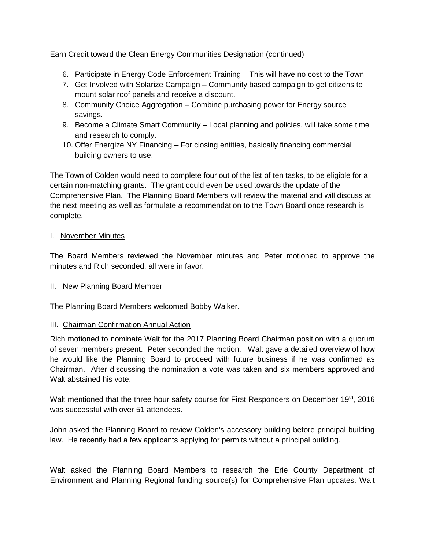Earn Credit toward the Clean Energy Communities Designation (continued)

- 6. Participate in Energy Code Enforcement Training This will have no cost to the Town
- 7. Get Involved with Solarize Campaign Community based campaign to get citizens to mount solar roof panels and receive a discount.
- 8. Community Choice Aggregation Combine purchasing power for Energy source savings.
- 9. Become a Climate Smart Community Local planning and policies, will take some time and research to comply.
- 10. Offer Energize NY Financing For closing entities, basically financing commercial building owners to use.

The Town of Colden would need to complete four out of the list of ten tasks, to be eligible for a certain non-matching grants. The grant could even be used towards the update of the Comprehensive Plan. The Planning Board Members will review the material and will discuss at the next meeting as well as formulate a recommendation to the Town Board once research is complete.

## I. November Minutes

The Board Members reviewed the November minutes and Peter motioned to approve the minutes and Rich seconded, all were in favor.

## II. New Planning Board Member

The Planning Board Members welcomed Bobby Walker.

## III. Chairman Confirmation Annual Action

Rich motioned to nominate Walt for the 2017 Planning Board Chairman position with a quorum of seven members present. Peter seconded the motion. Walt gave a detailed overview of how he would like the Planning Board to proceed with future business if he was confirmed as Chairman. After discussing the nomination a vote was taken and six members approved and Walt abstained his vote.

Walt mentioned that the three hour safety course for First Responders on December 19<sup>th</sup>, 2016 was successful with over 51 attendees.

John asked the Planning Board to review Colden's accessory building before principal building law. He recently had a few applicants applying for permits without a principal building.

Walt asked the Planning Board Members to research the Erie County Department of Environment and Planning Regional funding source(s) for Comprehensive Plan updates. Walt